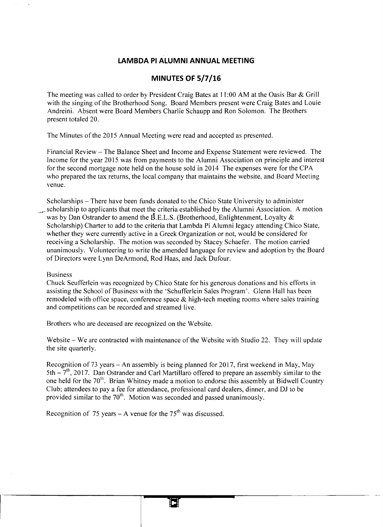## **LAMBDA PI ALUMNI ANNUAL MEETING**

## **MINUTES OF 5/7/16**

The meeting was called to order by President Craig Bates at 11:00 AM at the Oasis Bar & Grill with the singing of the Brotherhood Song. Board Members present were Craig Bates and Louie Andreini. Absent were Board Members Charlie Schaupp and Ron Solomon. The Brothers present totaled 20.

The Minutes of the 2015 Annual Meeting were read and accepted as presented.

Financial Review- The Balance Sheet and Income and Expense Statement were reviewed. The Income for the year 2015 was from payments to the Alumni Association on principle and interest for the second mortgage note held on the house sold in 2014 The expenses were for the CPA who prepared the tax returns, the local company that maintains the website, and Board Meeting venue.

Scholarships – There have been funds donated to the Chico State University to administer scholarship to applicants that meet the criteria established by the Alumni Association. A motion was by Dan Ostrander to amend the B.E.L.S. (Brotherhood, Enlightenment, Loyalty  $\&$ Scholarship) Charter to add to the criteria that Lambda Pi Alumni legacy attending Chico State, whether they were currently active in a Greek Organization or not, would be considered for receiving a Scholarship. The motion was seconded by Stacey Schaefer. The motion carried unanimously. Volunteering to write the amended language for review and adoption by the Board of Directors were Lynn DeArmond, Rod Haas, and Jack Dufour.

## Business

Chuck Seufferlein was recognized by Chico State for his generous donations and his efforts in assisting the School of Business with the 'Schufferlein Sales Program'. Glenn Hall has been remodeled with office space, conference space  $\&$  high-tech meeting rooms where sales training and competitions can be recorded and streamed live.

Brothers who are deceased are recognized on the Website.

Website – We are contracted with maintenance of the Website with Studio 22. They will update the site quarterly.

Recognition of 73 years- An assembly is being planned for 2017, first weekend in May, May  $5th - 7<sup>th</sup>$ , 2017. Dan Ostrander and Carl Martillaro offered to prepare an assembly similar to the one held for the  $70<sup>th</sup>$ . Brian Whitney made a motion to endorse this assembly at Bidwell Country Club; attendees to pay a fee for attendance, professional card dealers, dinner, and OJ to be provided similar to the  $70<sup>th</sup>$ . Motion was seconded and passed unanimously.

Recognition of 75 years – A venue for the  $75<sup>th</sup>$  was discussed.